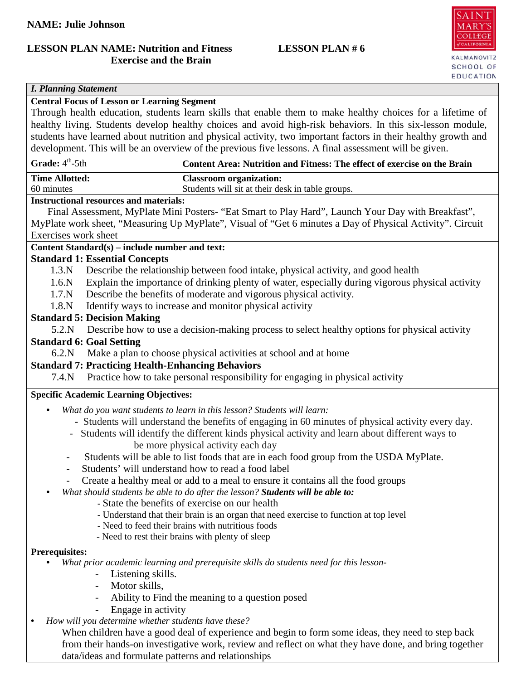# **LESSON PLAN NAME: Nutrition and Fitness LESSON PLAN # 6 Exercise and the Brain**



# *I. Planning Statement*

# **Central Focus of Lesson or Learning Segment**

Through health education, students learn skills that enable them to make healthy choices for a lifetime of healthy living. Students develop healthy choices and avoid high-risk behaviors. In this six-lesson module, students have learned about nutrition and physical activity, two important factors in their healthy growth and development. This will be an overview of the previous five lessons. A final assessment will be given.

| <b>Grade:</b> $4^{\text{th}}$ -5th | Content Area: Nutrition and Fitness: The effect of exercise on the Brain |
|------------------------------------|--------------------------------------------------------------------------|
| <b>Time Allotted:</b>              | <b>Classroom organization:</b>                                           |
| 60 minutes                         | Students will sit at their desk in table groups.                         |
|                                    |                                                                          |

#### **Instructional resources and materials:**

Final Assessment, MyPlate Mini Posters- "Eat Smart to Play Hard", Launch Your Day with Breakfast", MyPlate work sheet, "Measuring Up MyPlate", Visual of "Get 6 minutes a Day of Physical Activity". Circuit Exercises work sheet

# **Content Standard(s) – include number and text:**

#### **Standard 1: Essential Concepts**

- 1.3.N Describe the relationship between food intake, physical activity, and good health
- 1.6.N Explain the importance of drinking plenty of water, especially during vigorous physical activity
- 1.7.N Describe the benefits of moderate and vigorous physical activity.
- 1.8.N Identify ways to increase and monitor physical activity

# **Standard 5: Decision Making**

5.2.N Describe how to use a decision-making process to select healthy options for physical activity

# **Standard 6: Goal Setting**

6.2.N Make a plan to choose physical activities at school and at home

# **Standard 7: Practicing Health-Enhancing Behaviors**

7.4.N Practice how to take personal responsibility for engaging in physical activity

## **Specific Academic Learning Objectives:**

- *What do you want students to learn in this lesson? Students will learn:*
	- Students will understand the benefits of engaging in 60 minutes of physical activity every day.
	- Students will identify the different kinds physical activity and learn about different ways to be more physical activity each day
	- Students will be able to list foods that are in each food group from the USDA MyPlate.
	- Students' will understand how to read a food label
	- Create a healthy meal or add to a meal to ensure it contains all the food groups
- *What should students be able to do after the lesson? Students will be able to:*
	- State the benefits of exercise on our health
	- Understand that their brain is an organ that need exercise to function at top level
	- Need to feed their brains with nutritious foods
	- Need to rest their brains with plenty of sleep

#### **Prerequisites:**

- *What prior academic learning and prerequisite skills do students need for this lesson-*
	- Listening skills.
	- Motor skills,
	- Ability to Find the meaning to a question posed
	- Engage in activity
- *How will you determine whether students have these?*

When children have a good deal of experience and begin to form some ideas, they need to step back from their hands-on investigative work, review and reflect on what they have done, and bring together data/ideas and formulate patterns and relationships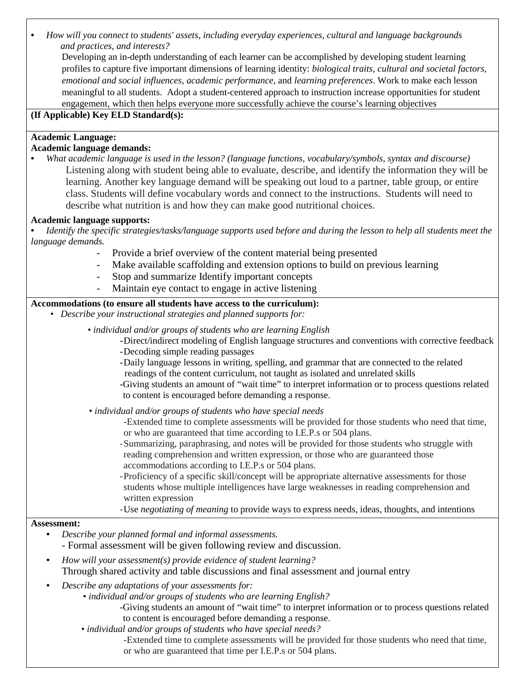• *How will you connect to students' assets, including everyday experiences, cultural and language backgrounds and practices, and interests?* 

Developing an in-depth understanding of each learner can be accomplished by developing student learning profiles to capture five important dimensions of learning identity: *biological traits, cultural and societal factors, emotional and social influences, academic performance*, and *learning preferences*. Work to make each lesson meaningful to all students. Adopt a student-centered approach to instruction increase opportunities for student engagement, which then helps everyone more successfully achieve the course's learning objectives

## **(If Applicable) Key ELD Standard(s):**

# **Academic Language:**

# **Academic language demands:**

• *What academic language is used in the lesson? (language functions, vocabulary/symbols, syntax and discourse)* Listening along with student being able to evaluate, describe, and identify the information they will be learning. Another key language demand will be speaking out loud to a partner, table group, or entire class. Students will define vocabulary words and connect to the instructions. Students will need to describe what nutrition is and how they can make good nutritional choices.

# **Academic language supports:**

- *Identify the specific strategies/tasks/language supports used before and during the lesson to help all students meet the language demands.* 
	- Provide a brief overview of the content material being presented
	- Make available scaffolding and extension options to build on previous learning
	- Stop and summarize Identify important concepts
	- Maintain eye contact to engage in active listening

# **Accommodations (to ensure all students have access to the curriculum):**

- *Describe your instructional strategies and planned supports for:*
	- *individual and/or groups of students who are learning English*

-Direct/indirect modeling of English language structures and conventions with corrective feedback

- -Decoding simple reading passages
- -Daily language lessons in writing, spelling, and grammar that are connected to the related readings of the content curriculum, not taught as isolated and unrelated skills
- -Giving students an amount of "wait time" to interpret information or to process questions related to content is encouraged before demanding a response.
- *individual and/or groups of students who have special needs*
	- -Extended time to complete assessments will be provided for those students who need that time, or who are guaranteed that time according to I.E.P.s or 504 plans.
	- -Summarizing, paraphrasing, and notes will be provided for those students who struggle with reading comprehension and written expression, or those who are guaranteed those accommodations according to I.E.P.s or 504 plans.
	- -Proficiency of a specific skill/concept will be appropriate alternative assessments for those students whose multiple intelligences have large weaknesses in reading comprehension and written expression

-Use *negotiating of meaning* to provide ways to express needs, ideas, thoughts, and intentions

## **Assessment:**

- *Describe your planned formal and informal assessments.*
- *-* Formal assessment will be given following review and discussion.
- *How will your assessment(s) provide evidence of student learning?* Through shared activity and table discussions and final assessment and journal entry
- *Describe any adaptations of your assessments for:* 
	- *individual and/or groups of students who are learning English?*
		- -Giving students an amount of "wait time" to interpret information or to process questions related to content is encouraged before demanding a response.
	- *individual and/or groups of students who have special needs?*

-Extended time to complete assessments will be provided for those students who need that time, or who are guaranteed that time per I.E.P.s or 504 plans.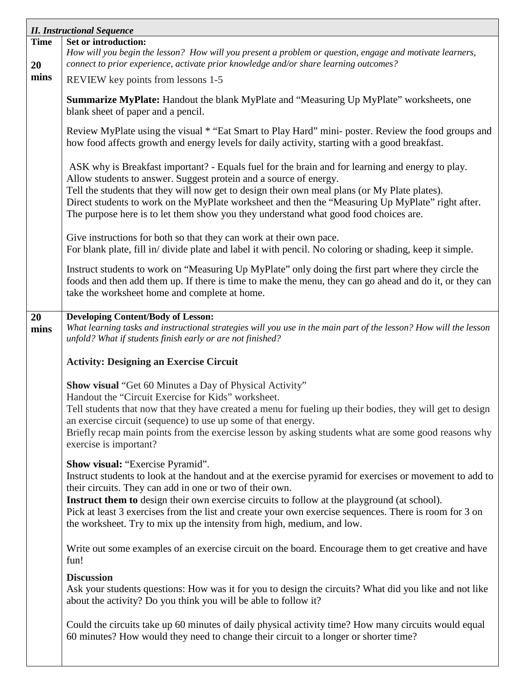|                   | <b>II. Instructional Sequence</b>                                                                                                                                                                                                                                                                                                                                                                                                                                   |  |  |  |  |
|-------------------|---------------------------------------------------------------------------------------------------------------------------------------------------------------------------------------------------------------------------------------------------------------------------------------------------------------------------------------------------------------------------------------------------------------------------------------------------------------------|--|--|--|--|
| <b>Time</b><br>20 | Set or introduction:<br>How will you begin the lesson? How will you present a problem or question, engage and motivate learners,<br>connect to prior experience, activate prior knowledge and/or share learning outcomes?                                                                                                                                                                                                                                           |  |  |  |  |
| mins              | REVIEW key points from lessons 1-5                                                                                                                                                                                                                                                                                                                                                                                                                                  |  |  |  |  |
|                   | Summarize MyPlate: Handout the blank MyPlate and "Measuring Up MyPlate" worksheets, one<br>blank sheet of paper and a pencil.                                                                                                                                                                                                                                                                                                                                       |  |  |  |  |
|                   | Review MyPlate using the visual * "Eat Smart to Play Hard" mini- poster. Review the food groups and<br>how food affects growth and energy levels for daily activity, starting with a good breakfast.                                                                                                                                                                                                                                                                |  |  |  |  |
|                   | ASK why is Breakfast important? - Equals fuel for the brain and for learning and energy to play.<br>Allow students to answer. Suggest protein and a source of energy.<br>Tell the students that they will now get to design their own meal plans (or My Plate plates).<br>Direct students to work on the MyPlate worksheet and then the "Measuring Up MyPlate" right after.<br>The purpose here is to let them show you they understand what good food choices are. |  |  |  |  |
|                   | Give instructions for both so that they can work at their own pace.<br>For blank plate, fill in/divide plate and label it with pencil. No coloring or shading, keep it simple.                                                                                                                                                                                                                                                                                      |  |  |  |  |
|                   | Instruct students to work on "Measuring Up MyPlate" only doing the first part where they circle the<br>foods and then add them up. If there is time to make the menu, they can go ahead and do it, or they can<br>take the worksheet home and complete at home.                                                                                                                                                                                                     |  |  |  |  |
| 20                | <b>Developing Content/Body of Lesson:</b>                                                                                                                                                                                                                                                                                                                                                                                                                           |  |  |  |  |
| mins              | What learning tasks and instructional strategies will you use in the main part of the lesson? How will the lesson<br>unfold? What if students finish early or are not finished?                                                                                                                                                                                                                                                                                     |  |  |  |  |
|                   | <b>Activity: Designing an Exercise Circuit</b>                                                                                                                                                                                                                                                                                                                                                                                                                      |  |  |  |  |
|                   | <b>Show visual "Get 60 Minutes a Day of Physical Activity"</b>                                                                                                                                                                                                                                                                                                                                                                                                      |  |  |  |  |
|                   | Handout the "Circuit Exercise for Kids" worksheet.<br>Tell students that now that they have created a menu for fueling up their bodies, they will get to design                                                                                                                                                                                                                                                                                                     |  |  |  |  |
|                   | an exercise circuit (sequence) to use up some of that energy.                                                                                                                                                                                                                                                                                                                                                                                                       |  |  |  |  |
|                   | Briefly recap main points from the exercise lesson by asking students what are some good reasons why<br>exercise is important?                                                                                                                                                                                                                                                                                                                                      |  |  |  |  |
|                   | Show visual: "Exercise Pyramid".                                                                                                                                                                                                                                                                                                                                                                                                                                    |  |  |  |  |
|                   | Instruct students to look at the handout and at the exercise pyramid for exercises or movement to add to<br>their circuits. They can add in one or two of their own.                                                                                                                                                                                                                                                                                                |  |  |  |  |
|                   | <b>Instruct them to</b> design their own exercise circuits to follow at the playground (at school).<br>Pick at least 3 exercises from the list and create your own exercise sequences. There is room for 3 on<br>the worksheet. Try to mix up the intensity from high, medium, and low.                                                                                                                                                                             |  |  |  |  |
|                   | Write out some examples of an exercise circuit on the board. Encourage them to get creative and have<br>fun!                                                                                                                                                                                                                                                                                                                                                        |  |  |  |  |
|                   | <b>Discussion</b><br>Ask your students questions: How was it for you to design the circuits? What did you like and not like<br>about the activity? Do you think you will be able to follow it?                                                                                                                                                                                                                                                                      |  |  |  |  |
|                   | Could the circuits take up 60 minutes of daily physical activity time? How many circuits would equal<br>60 minutes? How would they need to change their circuit to a longer or shorter time?                                                                                                                                                                                                                                                                        |  |  |  |  |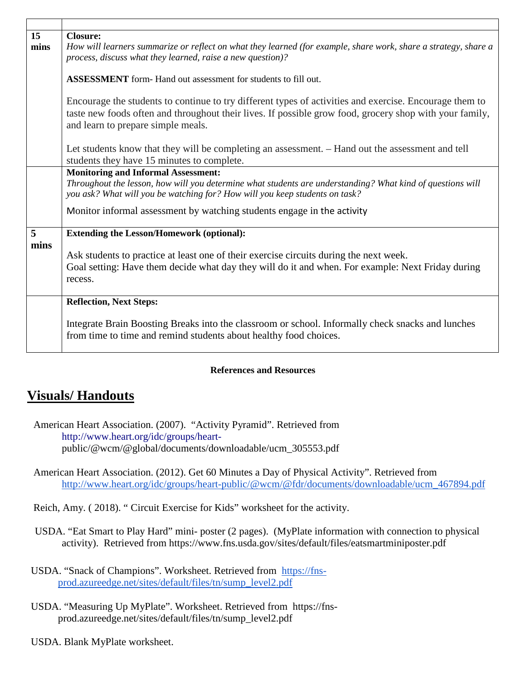| 15<br>mins      | <b>Closure:</b><br>How will learners summarize or reflect on what they learned (for example, share work, share a strategy, share a<br>process, discuss what they learned, raise a new question)?                                                         |  |  |  |  |
|-----------------|----------------------------------------------------------------------------------------------------------------------------------------------------------------------------------------------------------------------------------------------------------|--|--|--|--|
|                 | <b>ASSESSMENT</b> form- Hand out assessment for students to fill out.                                                                                                                                                                                    |  |  |  |  |
|                 | Encourage the students to continue to try different types of activities and exercise. Encourage them to<br>taste new foods often and throughout their lives. If possible grow food, grocery shop with your family,<br>and learn to prepare simple meals. |  |  |  |  |
|                 | Let students know that they will be completing an assessment. - Hand out the assessment and tell<br>students they have 15 minutes to complete.                                                                                                           |  |  |  |  |
|                 | <b>Monitoring and Informal Assessment:</b><br>Throughout the lesson, how will you determine what students are understanding? What kind of questions will<br>you ask? What will you be watching for? How will you keep students on task?                  |  |  |  |  |
|                 | Monitor informal assessment by watching students engage in the activity                                                                                                                                                                                  |  |  |  |  |
| $5\overline{)}$ | <b>Extending the Lesson/Homework (optional):</b>                                                                                                                                                                                                         |  |  |  |  |
| mins            | Ask students to practice at least one of their exercise circuits during the next week.<br>Goal setting: Have them decide what day they will do it and when. For example: Next Friday during<br>recess.                                                   |  |  |  |  |
|                 | <b>Reflection, Next Steps:</b>                                                                                                                                                                                                                           |  |  |  |  |
|                 | Integrate Brain Boosting Breaks into the classroom or school. Informally check snacks and lunches<br>from time to time and remind students about healthy food choices.                                                                                   |  |  |  |  |

# **References and Resources**

# **Visuals/ Handouts**

American Heart Association. (2007). "Activity Pyramid". Retrieved from [http://www.heart.org/idc/groups/heart](http://www.heart.org/idc/groups/heart-)public/@wcm/@global/documents/downloadable/ucm\_305553.pdf

American Heart Association. (2012). Get 60 Minutes a Day of Physical Activity". Retrieved from [http://www.heart.org/idc/groups/heart-public/@wcm/@fdr/documents/downloadable/ucm\\_467894.pdf](http://www.heart.org/idc/groups/heart-public/@wcm/@fdr/documents/downloadable/ucm_467894.pdf)

Reich, Amy. ( 2018). " Circuit Exercise for Kids" worksheet for the activity.

USDA. "Eat Smart to Play Hard" mini- poster (2 pages). (MyPlate information with connection to physical activity). Retrieved from https://www.fns.usda.gov/sites/default/files/eatsmartminiposter.pdf

- USDA. "Snack of Champions". Worksheet. Retrieved from [https://fns](https://fns-prod.azureedge.net/sites/default/files/tn/sump_level2.pdf)[prod.azureedge.net/sites/default/files/tn/sump\\_level2.pdf](https://fns-prod.azureedge.net/sites/default/files/tn/sump_level2.pdf)
- USDA. "Measuring Up MyPlate". Worksheet. Retrieved from https://fnsprod.azureedge.net/sites/default/files/tn/sump\_level2.pdf
- USDA. Blank MyPlate worksheet.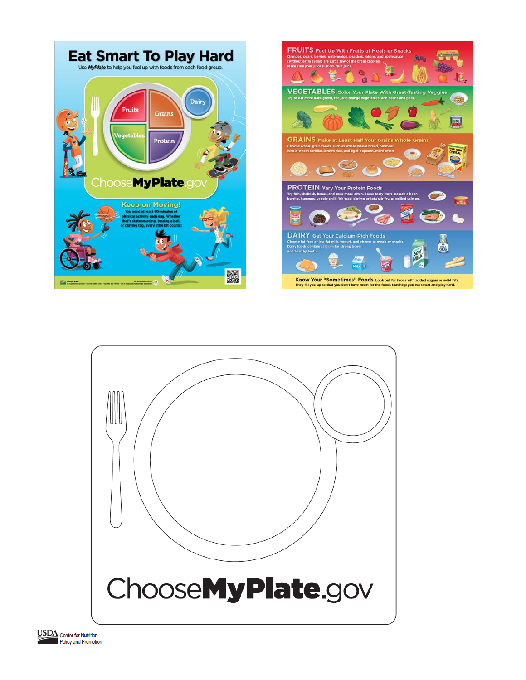





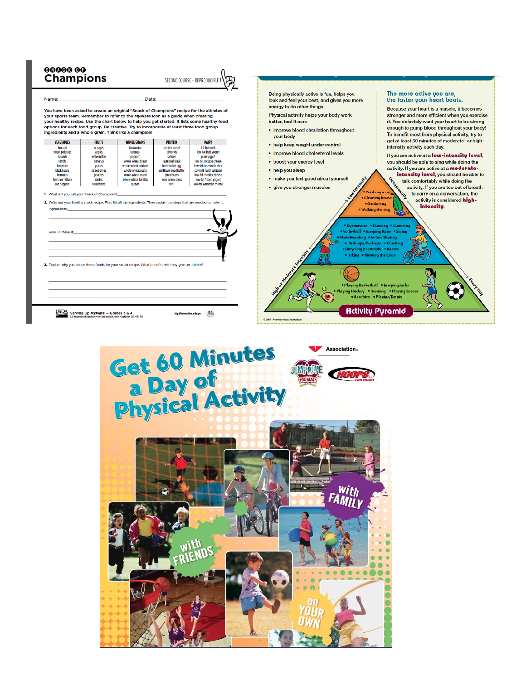

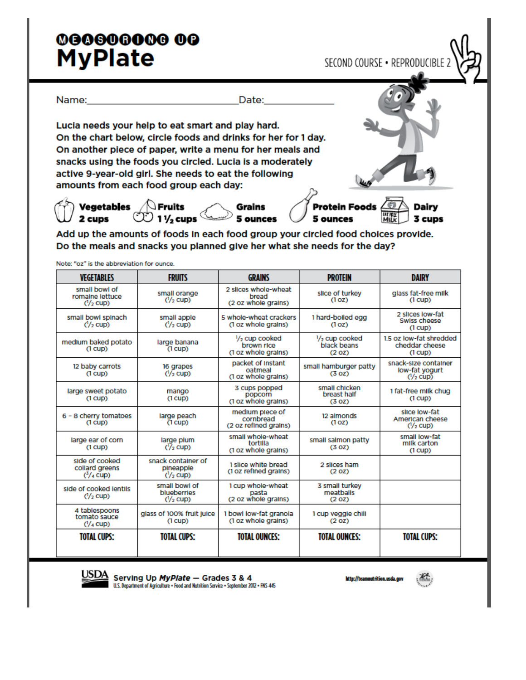# 000000000000 **MyPlate**

SECOND COURSE . REPRODUCIBLE

Name: Date: Lucia needs your help to eat smart and play hard. On the chart below, circle foods and drinks for her for 1 day. On another piece of paper, write a menu for her meals and snacks using the foods you circled. Lucia is a moderately active 9-year-old girl. She needs to eat the following amounts from each food group each day: Vegetables **OF** Fruits **Grains**<br>2 cups **CO** 11/<sub>2</sub> cups 5 ounces **Protein Foods** Dairy 5 ounces 3 cups Add up the amounts of foods in each food group your circled food choices provide. Do the meals and snacks you planned give her what she needs for the day?

Note: "oz" is the abbreviation for ounce.

| <b>VEGETABLES</b>                                                | <b>FRUITS</b>                                                                                                             | <b>GRAINS</b>                                                                                                     | <b>PROTEIN</b>                           | <b>DAIRY</b>                                          |
|------------------------------------------------------------------|---------------------------------------------------------------------------------------------------------------------------|-------------------------------------------------------------------------------------------------------------------|------------------------------------------|-------------------------------------------------------|
| small bowl of<br>romaine lettuce<br>$(1/2)$ CUD)                 | small orange<br>$(1/2$ CUD)                                                                                               | 2 slices whole-wheat<br>slice of turkey<br>bread<br>(1 <sub>OZ</sub> )<br>(2 oz whole grains)                     |                                          | glass fat-free milk<br>$(1$ CUD)                      |
| small bowl spinach<br>$(1/2)$ CUD)                               | small apple<br>$(1/2)$ cup)                                                                                               | 5 whole-wheat crackers<br>(1 oz whole grains)                                                                     | 1 hard-boiled egg<br>(1 <sub>OZ</sub> )  | 2 slices low-fat<br>Swiss cheese<br>$(1$ cup $)$      |
| medium baked potato<br>$(1$ $CUD)$                               | large banana<br>$(1$ CUD)                                                                                                 | $\frac{1}{2}$ cup cooked<br>$\frac{1}{2}$ cup cooked<br>black beans<br>brown rice<br>(1 oz whole grains)<br>(20Z) |                                          | 1.5 oz low-fat shredded<br>cheddar cheese<br>(1 cup)  |
| 12 baby carrots<br>(1 cup)                                       | 16 grapes<br>$(1/2$ cup)                                                                                                  | packet of Instant<br>small hamburger patty<br>oatmeal<br>(3 <sub>oz</sub> )<br>(1 oz whole grains)                |                                          | snack-size container<br>low-fat yogurt<br>$(1/2$ Cup) |
| large sweet potato<br>$(1$ CUD $)$                               | small chicken<br>3 cups popped<br>mango<br>breast half<br>popcorn<br>(1 cup)<br>(1 oz whole grains)<br>(3 <sub>0</sub> z) |                                                                                                                   | 1 fat-free milk chug<br>$(1$ $CUD)$      |                                                       |
| 6 - 8 cherry tomatoes<br>$(1$ $\text{cup})$                      | large peach<br>$(1$ CUD)                                                                                                  | medium plece of<br>cornbread<br>(2 oz refined grains)                                                             | 12 almonds<br>(1 <sub>OZ</sub> )         | slice low-fat<br>American cheese<br>$(1/2)$ CUD)      |
| large ear of corn<br>$(1$ $\text{cup})$                          | large plum<br>$(1/2)$ cup)                                                                                                | small whole-wheat<br>tortilla<br>(1 oz whole grains)                                                              | small salmon patty<br>(3 <sub>0</sub> z) | small low-fat<br>milk carton<br>(1 cup)               |
| side of cooked<br>collard greens<br>$(^3/4$ CUD)                 | snack container of<br>pineapple<br>$(1/2)$ cup)                                                                           | 1 slice white bread<br>(1 oz refined grains)                                                                      | 2 slices ham<br>(2 <sub>0</sub> z)       |                                                       |
| side of cooked lentils<br>$(Y_2$ cup)                            | small bowl of<br>blueberries<br>$(1/2$ cup)                                                                               | 1 cup whole-wheat<br>pasta<br>(2 oz whole grains)                                                                 | 3 small turkey<br>meatballs<br>(20Z)     |                                                       |
| 4 tablespoons<br>tomato sauce<br>$(1/4$ CUD)                     | glass of 100% fruit juice<br>(1 cup)                                                                                      | 1 bowl low-fat granola<br>(1 oz whole grains)                                                                     | 1 cup veggle chili<br>(2 <sub>0</sub> z) |                                                       |
| <b>TOTAL CUPS:</b><br><b>TOTAL CUPS:</b><br><b>TOTAL OUNCES:</b> |                                                                                                                           | <b>TOTAL OUNCES:</b>                                                                                              | <b>TOTAL CUPS:</b>                       |                                                       |



Serving Up MyPlate - Grades 3 & 4 U.S. Department of Agriculture . Food and Nutrition Service . September 2012 . FNS-445

http://teamnutrition.usda.go

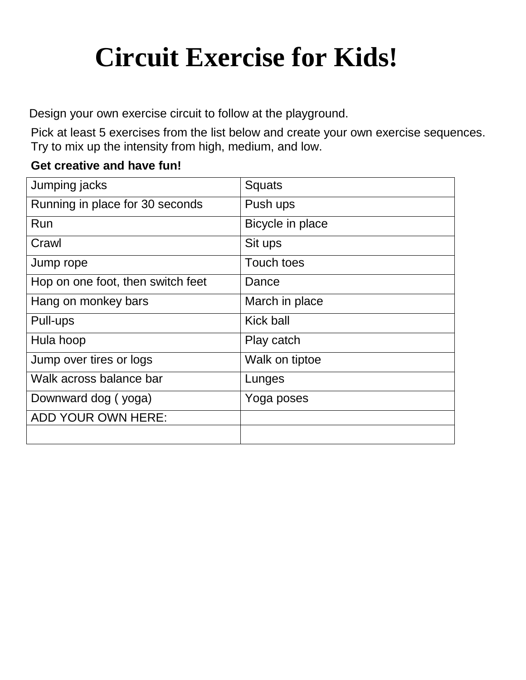# **Circuit Exercise for Kids!**

Design your own exercise circuit to follow at the playground.

Pick at least 5 exercises from the list below and create your own exercise sequences. Try to mix up the intensity from high, medium, and low.

# **Get creative and have fun!**

| Jumping jacks                     | <b>Squats</b>     |
|-----------------------------------|-------------------|
| Running in place for 30 seconds   | Push ups          |
| Run                               | Bicycle in place  |
| Crawl                             | Sit ups           |
| Jump rope                         | <b>Touch toes</b> |
| Hop on one foot, then switch feet | Dance             |
| Hang on monkey bars               | March in place    |
| Pull-ups                          | Kick ball         |
| Hula hoop                         | Play catch        |
| Jump over tires or logs           | Walk on tiptoe    |
| Walk across balance bar           | Lunges            |
| Downward dog (yoga)               | Yoga poses        |
| ADD YOUR OWN HERE:                |                   |
|                                   |                   |